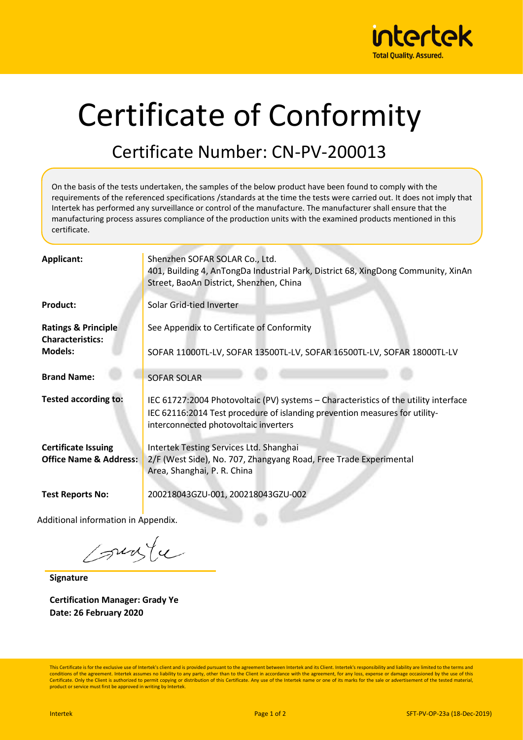

## Certificate of Conformity

## Certificate Number: CN-PV-200013

On the basis of the tests undertaken, the samples of the below product have been found to comply with the requirements of the referenced specifications /standards at the time the tests were carried out. It does not imply that Intertek has performed any surveillance or control of the manufacture. The manufacturer shall ensure that the manufacturing process assures compliance of the production units with the examined products mentioned in this certificate.

| <b>Applicant:</b>                                               | Shenzhen SOFAR SOLAR Co., Ltd.<br>401, Building 4, AnTongDa Industrial Park, District 68, XingDong Community, XinAn<br>Street, BaoAn District, Shenzhen, China                                              |
|-----------------------------------------------------------------|-------------------------------------------------------------------------------------------------------------------------------------------------------------------------------------------------------------|
| <b>Product:</b>                                                 | Solar Grid-tied Inverter                                                                                                                                                                                    |
| <b>Ratings &amp; Principle</b><br><b>Characteristics:</b>       | See Appendix to Certificate of Conformity                                                                                                                                                                   |
| <b>Models:</b>                                                  | SOFAR 11000TL-LV, SOFAR 13500TL-LV, SOFAR 16500TL-LV, SOFAR 18000TL-LV                                                                                                                                      |
| <b>Brand Name:</b>                                              | <b>SOFAR SOLAR</b>                                                                                                                                                                                          |
| <b>Tested according to:</b>                                     | IEC 61727:2004 Photovoltaic (PV) systems – Characteristics of the utility interface<br>IEC 62116:2014 Test procedure of islanding prevention measures for utility-<br>interconnected photovoltaic inverters |
| <b>Certificate Issuing</b><br><b>Office Name &amp; Address:</b> | Intertek Testing Services Ltd. Shanghai<br>2/F (West Side), No. 707, Zhangyang Road, Free Trade Experimental                                                                                                |
|                                                                 | Area, Shanghai, P. R. China                                                                                                                                                                                 |
| <b>Test Reports No:</b>                                         | 200218043GZU-001, 200218043GZU-002                                                                                                                                                                          |

Additional information in Appendix.

sunte

**Signature**

**Certification Manager: Grady Ye Date: 26 February 2020**

This Certificate is for the exclusive use of Intertek's client and is provided pursuant to the agreement between Intertek and its Client. Intertek's responsibility and liability are limited to the terms and conditions of the agreement. Intertek assumes no liability to any party, other than to the Client in accordance with the agreement, for any loss, expense or damage occasioned by the use of this Certificate. Only the Client is authorized to permit copying or distribution of this Certificate. Any use of the Intertek name or one of its marks for the sale or advertisement of the tested material product or service must first be approved in writing by Intertek.